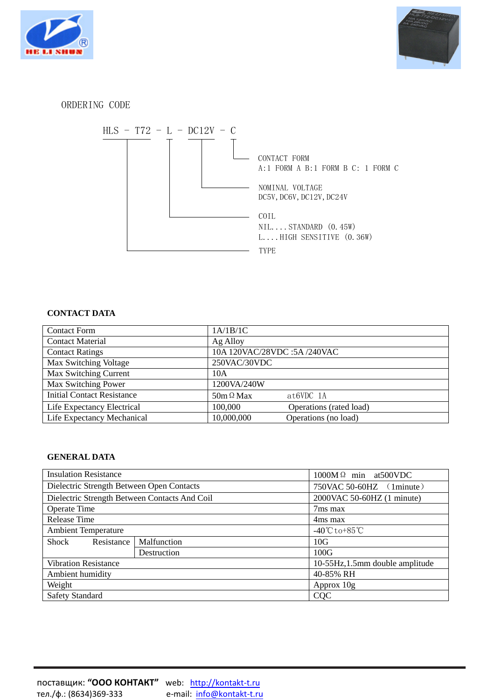



## ORDERING CODE



## **CONTACT DATA**

| <b>Contact Form</b>               | 1A/1B/1C                           |
|-----------------------------------|------------------------------------|
| <b>Contact Material</b>           | Ag Alloy                           |
| <b>Contact Ratings</b>            | 10A 120VAC/28VDC:5A /240VAC        |
| Max Switching Voltage             | 250VAC/30VDC                       |
| Max Switching Current             | 10A                                |
| Max Switching Power               | 1200VA/240W                        |
| <b>Initial Contact Resistance</b> | $50m \Omega$ Max<br>at6VDC 1A      |
| Life Expectancy Electrical        | 100,000<br>Operations (rated load) |
| Life Expectancy Mechanical        | 10,000,000<br>Operations (no load) |

## **GENERAL DATA**

| <b>Insulation Resistance</b>                  |             | $1000M \Omega$ min at 500 VDC                   |  |
|-----------------------------------------------|-------------|-------------------------------------------------|--|
| Dielectric Strength Between Open Contacts     |             | 750VAC 50-60HZ (1minute)                        |  |
| Dielectric Strength Between Contacts And Coil |             | 2000 VAC 50-60 HZ (1 minute)                    |  |
| <b>Operate Time</b>                           |             | 7ms max                                         |  |
| <b>Release Time</b>                           |             | 4ms max                                         |  |
| <b>Ambient Temperature</b>                    |             | $-40^{\circ}\text{C}$ to +85 $^{\circ}\text{C}$ |  |
| Resistance<br>Shock                           | Malfunction | 10G                                             |  |
|                                               | Destruction | 100G                                            |  |
| <b>Vibration Resistance</b>                   |             | 10-55Hz, 1.5mm double amplitude                 |  |
| Ambient humidity                              |             | 40-85% RH                                       |  |
| Weight                                        |             | Approx 10g                                      |  |
| <b>Safety Standard</b>                        |             | <b>CQC</b>                                      |  |